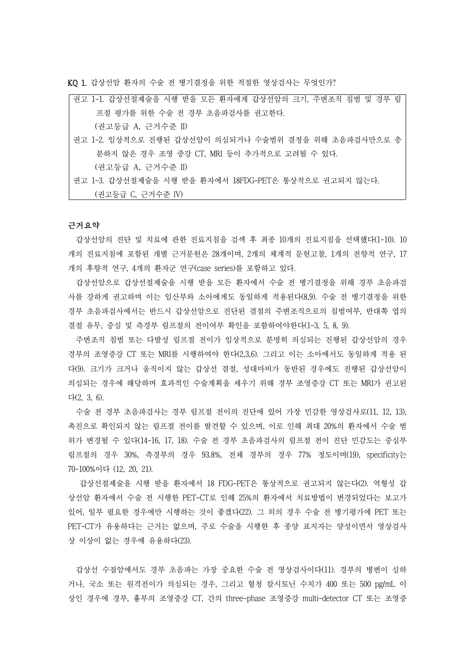KQ 1. 갑상선암 환자의 수술 전 병기결정을 위한 적절한 영상검사는 무엇인가?

| 권고 1-1. 갑상선절제술을 시행 받을 모든 환자에게 갑상선암의 크기, 주변조직 침범 및 경부 림 |
|--------------------------------------------------------|
| 프절 평가를 위한 수술 저 경부 초음파검사를 궈고한다.                         |
| (권고등급 A, 근거수준 II)                                      |
| 권고 1-2. 임상적으로 진행된 갑상선암이 의심되거나 수술범위 결정을 위해 초음파검사만으로 충   |
| 분하지 않은 경우 조영 증강 CT, MRI 등이 추가적으로 고려될 수 있다.             |
| (권고등급 A, 근거수준 II)                                      |
| 권고 1-3. 갑상선절제술을 시행 받을 환자에서 18FDG-PET은 통상적으로 권고되지 않는다.  |
| (권고등급 C, 근거수준 IV)                                      |

### 근거요약

갑상선암의 진단 및 치료에 관한 진료지침을 검색 후 최종 10개의 진료지침을 선택했다(1-10). 10 개의 진료지침에 포함된 개별 근거문헌은 28개이며, 2개의 체계적 문헌고찰, 1개의 전향적 연구, 17 개의 후향적 연구, 4개의 환자군 연구(case series)를 포함하고 있다.

갑상선암으로 갑상선절제술을 시행 받을 모든 환자에서 수술 전 병기결정을 위해 경부 초음파검 사를 강하게 권고하며 이는 임산부와 소아에게도 동일하게 적용된다(8,9). 수술 전 병기결정을 위한 경부 초음파검사에서는 반드시 갑상선암으로 진단된 결절의 주변조직으로의 침범여부, 반대쪽 엽의 결절 유무, 중심 및 측경부 림프절의 전이여부 확인을 포함하여야한다(1-3, 5, 8, 9).

주변조직 침범 또는 다발성 림프절 전이가 임상적으로 분명히 의심되는 진행된 갑상선암의 경우 경부의 조영증강 CT 또는 MRI를 시행하여야 한다(2,3,6). 그리고 이는 소아에서도 동일하게 적용 된 다(9). 크기가 크거나 움직이지 않는 갑상선 결절, 성대마비가 동반된 경우에도 진행된 갑상선암이 의심되는 경우에 해당하며 효과적인 수술계획을 세우기 위해 경부 조영증강 CT 또는 MRI가 권고된 다(2, 3, 6).

수술 전 경부 초음파검사는 경부 림프절 전이의 진단에 있어 가장 민감한 영상검사로(11, 12, 13), 촉진으로 확인되지 않는 림프절 전이를 발견할 수 있으며, 이로 인해 최대 20%의 환자에서 수술 범 위가 변경될 수 있다(14-16, 17, 18). 수술 전 경부 초음파검사의 림프절 전이 진단 민감도는 중심부 림프절의 경우 30%, 측경부의 경우 93.8%, 전체 경부의 경우 77% 정도이며(19), specificity는 70-100%이다 (12, 20, 21).

갑상선절제술을 시행 받을 환자에서 18 FDG-PET은 통상적으로 권고되지 않는다(2). 역형성 갑 상선암 환자에서 수술 전 시행한 PET-CT로 인해 25%의 환자에서 치료방법이 변경되었다는 보고가 있어, 일부 필요한 경우에만 시행하는 것이 좋겠다(22). 그 외의 경우 수술 전 병기평가에 PET 또는 PET-CT가 유용하다는 근거는 없으며, 주로 수술을 시행한 후 종양 표지자는 양성이면서 영상검사 상 이상이 없는 경우에 유용하다(23).

갑상선 수질암에서도 경부 초음파는 가장 중요한 수술 전 영상검사이다(11). 경부의 병변이 심하 거나, 국소 또는 원격전이가 의심되는 경우, 그리고 혈청 칼시토닌 수치가 400 또는 500 pg/mL 이 상인 경우에 경부, 흉부의 조영증강 CT, 간의 three-phase 조영증강 multi-detector CT 또는 조영증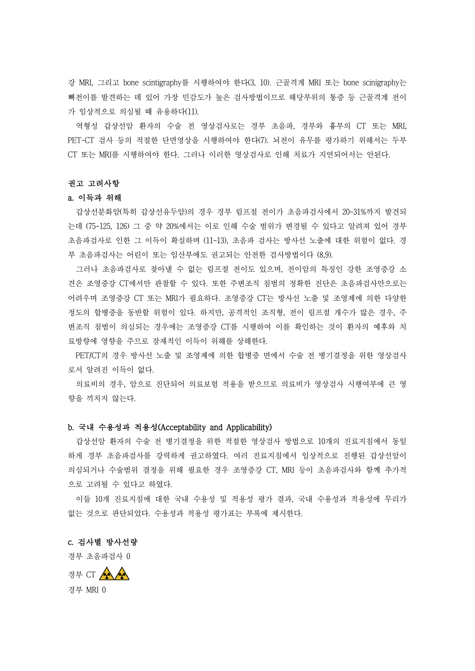강 MRI, 그리고 bone scintigraphy를 시행하여야 한다(3, 10). 근골격계 MRI 또는 bone scinigraphy는 뼈전이를 발견하는 데 있어 가장 민감도가 높은 검사방법이므로 해당부위의 통증 등 근골격계 전이 가 임상적으로 의심될 때 유용하다(11).

역형성 갑상선암 환자의 수술 전 영상검사로는 경부 초음파, 경부와 흉부의 CT 또는 MRI, PET-CT 검사 등의 적절한 단면영상을 시행하여야 한다(7). 뇌전이 유무를 평가하기 위해서는 두부 CT 또는 MRI를 시행하여야 한다. 그러나 이러한 영상검사로 인해 치료가 지연되어서는 안된다.

### 권고 고려사항

## a. 이득과 위해

갑상선분화암(특히 갑상선유두암)의 경우 경부 림프절 전이가 초음파검사에서 20-31%까지 발견되 는데 (75-125, 126) 그 중 약 20%에서는 이로 인해 수술 범위가 변경될 수 있다고 알려져 있어 경부 초음파검사로 인한 그 이득이 확실하며 (11-13), 초음파 검사는 방사선 노출에 대한 위험이 없다. 경 부 초음파검사는 어린이 또는 임산부에도 권고되는 안전한 검사방법이다 (8,9).

그러나 초음파검사로 찾아낼 수 없는 림프절 전이도 있으며, 전이암의 특징인 강한 조영증강 소 견은 조영증강 CT에서만 관찰할 수 있다. 또한 주변조직 침범의 정확한 진단은 초음파검사만으로는 어려우며 조영증강 CT 또는 MRI가 필요하다. 조영증강 CT는 방사선 노출 및 조영제에 의한 다양한 정도의 합병증을 동반할 위험이 있다. 하지만, 공격적인 조직형, 전이 림프절 개수가 많은 경우, 주 변조직 침범이 의심되는 경우에는 조영증강 CT를 시행하여 이를 확인하는 것이 환자의 예후와 치 료방향에 영향을 주므로 잠재적인 이득이 위해를 상해한다.<br>PET/CT의 경우 방사선 노출 및 조영제에 의한 합병증 면에서 수술 전 병기결정을 위한 영상검사

로서 알려진 이득이 없다.

의료비의 경우, 암으로 진단되어 의료보험 적용을 받으므로 의료비가 영상검사 시행여부에 큰 영 향을 끼치지 않는다.

## b. 국내 수용성과 적용성(Acceptability and Applicability)

갑상선암 환자의 수술 전 병기결정을 위한 적절한 영상검사 방법으로 10개의 진료지침에서 동일 하게 경부 초음파검사를 강력하게 권고하였다. 여러 진료지침에서 임상적으로 진행된 갑상선암이 의심되거나 수술범위 결정을 위해 필요한 경우 조영증강 CT, MRI 등이 초음파검사와 함께 추가적 으로 고려될 수 있다고 하였다.

이들 10개 진료지침에 대한 국내 수용성 및 적용성 평가 결과, 국내 수용성과 적용성에 무리가 없는 것으로 판단되었다. 수용성과 적용성 평가표는 부록에 제시한다.

c. 검사별 방사선량

경부 초음파검사 0

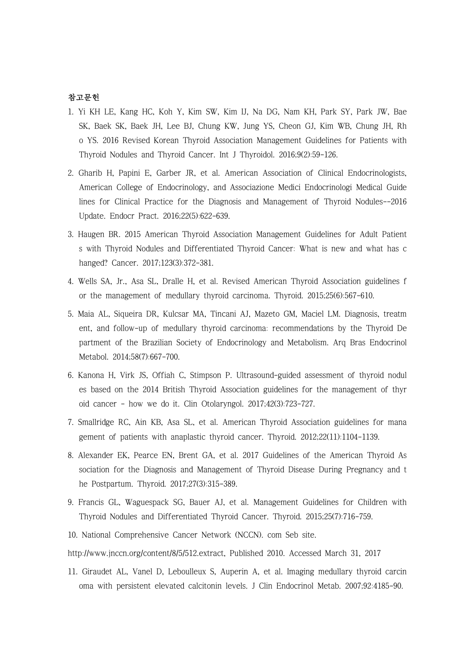# 참고문헌

- 1. Yi KH LE, Kang HC, Koh Y, Kim SW, Kim IJ, Na DG, Nam KH, Park SY, Park JW, Bae SK, Baek SK, Baek JH, Lee BJ, Chung KW, Jung YS, Cheon GJ, Kim WB, Chung JH, Rh o YS. 2016 Revised Korean Thyroid Association Management Guidelines for Patients with Thyroid Nodules and Thyroid Cancer. Int J Thyroidol. 2016;9(2):59-126.
- 2. Gharib H, Papini E, Garber JR, et al. American Association of Clinical Endocrinologists, American College of Endocrinology, and Associazione Medici Endocrinologi Medical Guide lines for Clinical Practice for the Diagnosis and Management of Thyroid Nodules--2016 Update. Endocr Pract. 2016;22(5):622-639.
- 3. Haugen BR. 2015 American Thyroid Association Management Guidelines for Adult Patient s with Thyroid Nodules and Differentiated Thyroid Cancer: What is new and what has c hanged? Cancer. 2017;123(3):372-381.
- 4. Wells SA, Jr., Asa SL, Dralle H, et al. Revised American Thyroid Association guidelines f or the management of medullary thyroid carcinoma. Thyroid. 2015;25(6):567-610.
- 5. Maia AL, Siqueira DR, Kulcsar MA, Tincani AJ, Mazeto GM, Maciel LM. Diagnosis, treatm ent, and follow-up of medullary thyroid carcinoma: recommendations by the Thyroid De partment of the Brazilian Society of Endocrinology and Metabolism. Arq Bras Endocrinol Metabol. 2014;58(7):667-700.
- 6. Kanona H, Virk JS, Offiah C, Stimpson P. Ultrasound-guided assessment of thyroid nodul es based on the 2014 British Thyroid Association guidelines for the management of thyr oid cancer - how we do it. Clin Otolaryngol. 2017;42(3):723-727.
- 7. Smallridge RC, Ain KB, Asa SL, et al. American Thyroid Association guidelines for mana gement of patients with anaplastic thyroid cancer. Thyroid. 2012;22(11):1104-1139.
- 8. Alexander EK, Pearce EN, Brent GA, et al. 2017 Guidelines of the American Thyroid As sociation for the Diagnosis and Management of Thyroid Disease During Pregnancy and t he Postpartum. Thyroid. 2017;27(3):315-389.
- 9. Francis GL, Waguespack SG, Bauer AJ, et al. Management Guidelines for Children with Thyroid Nodules and Differentiated Thyroid Cancer. Thyroid. 2015;25(7):716-759.
- 10. National Comprehensive Cancer Network (NCCN). com Seb site.

http://www.jnccn.org/content/8/5/512.extract, Published 2010. Accessed March 31, 2017

11. Giraudet AL, Vanel D, Leboulleux S, Auperin A, et al. Imaging medullary thyroid carcin oma with persistent elevated calcitonin levels. J Clin Endocrinol Metab. 2007;92:4185-90.